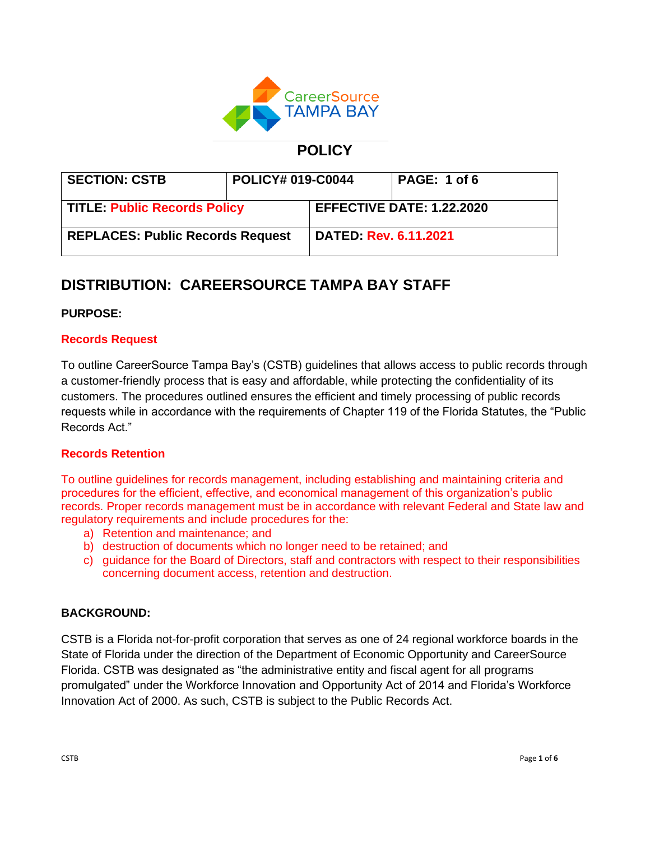

## **POLICY**

| <b>SECTION: CSTB</b>                    | <b>POLICY# 019-C0044</b> |                                  | PAGE: 1 of 6 |
|-----------------------------------------|--------------------------|----------------------------------|--------------|
| TITLE: Public Records Policy            |                          | <b>EFFECTIVE DATE: 1.22.2020</b> |              |
| <b>REPLACES: Public Records Request</b> |                          | <b>DATED Rev. 6.11.2021</b>      |              |

# **DISTRIBUTION: CAREERSOURCE TAMPA BAY STAFF**

## **PURPOSE:**

## **Records Request**

To outline CareerSource Tampa Bay's (CSTB) guidelines that allows access to public records through a customer-friendly process that is easy and affordable, while protecting the confidentiality of its customers. The procedures outlined ensures the efficient and timely processing of public records requests while in accordance with the requirements of Chapter 119 of the Florida Statutes, the "Public Records Act."

## **Records Retention**

To outline guidelines for records management, including establishing and maintaining criteria and procedures for the efficient, effective, and economical management of this organization's public records. Proper records management must be in accordance with relevant Federal and State law and regulatory requirements and include procedures for the:

- a) Retention and maintenance; and
- b) destruction of documents which no longer need to be retained; and
- c) guidance for the Board of Directors, staff and contractors with respect to their responsibilities concerning document access, retention and destruction.

## **BACKGROUND:**

CSTB is a Florida not-for-profit corporation that serves as one of 24 regional workforce boards in the State of Florida under the direction of the Department of Economic Opportunity and CareerSource Florida. CSTB was designated as "the administrative entity and fiscal agent for all programs promulgated" under the Workforce Innovation and Opportunity Act of 2014 and Florida's Workforce Innovation Act of 2000. As such, CSTB is subject to the Public Records Act.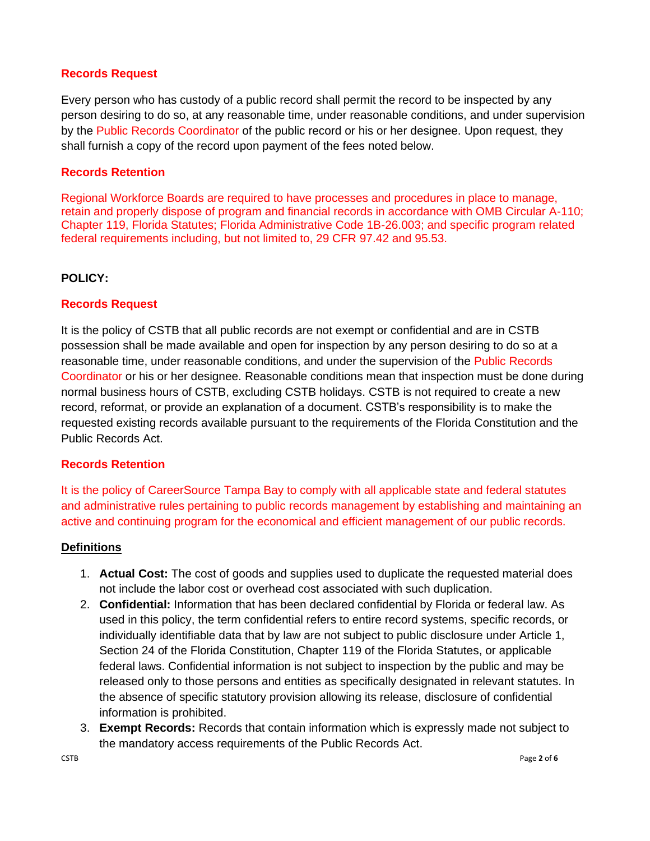#### **Records Request**

Every person who has custody of a public record shall permit the record to be inspected by any person desiring to do so, at any reasonable time, under reasonable conditions, and under supervision by the Public Records Coordinator of the public record or his or her designee. Upon request, they shall furnish a copy of the record upon payment of the fees noted below.

#### **Records Retention**

Regional Workforce Boards are required to have processes and procedures in place to manage, retain and properly dispose of program and financial records in accordance with OMB Circular A-110; Chapter 119, Florida Statutes; Florida Administrative Code 1B-26.003; and specific program related federal requirements including, but not limited to, 29 CFR 97.42 and 95.53.

#### **POLICY:**

#### **Records Request**

It is the policy of CSTB that all public records are not exempt or confidential and are in CSTB possession shall be made available and open for inspection by any person desiring to do so at a reasonable time, under reasonable conditions, and under the supervision of the Public Records Coordinator or his or her designee. Reasonable conditions mean that inspection must be done during normal business hours of CSTB, excluding CSTB holidays. CSTB is not required to create a new record, reformat, or provide an explanation of a document. CSTB's responsibility is to make the requested existing records available pursuant to the requirements of the Florida Constitution and the Public Records Act.

#### **Records Retention**

It is the policy of CareerSource Tampa Bay to comply with all applicable state and federal statutes and administrative rules pertaining to public records management by establishing and maintaining an active and continuing program for the economical and efficient management of our public records.

#### **Definitions**

- 1. **Actual Cost:** The cost of goods and supplies used to duplicate the requested material does not include the labor cost or overhead cost associated with such duplication.
- 2. **Confidential:** Information that has been declared confidential by Florida or federal law. As used in this policy, the term confidential refers to entire record systems, specific records, or individually identifiable data that by law are not subject to public disclosure under Article 1, Section 24 of the Florida Constitution, Chapter 119 of the Florida Statutes, or applicable federal laws. Confidential information is not subject to inspection by the public and may be released only to those persons and entities as specifically designated in relevant statutes. In the absence of specific statutory provision allowing its release, disclosure of confidential information is prohibited.
- 3. **Exempt Records:** Records that contain information which is expressly made not subject to the mandatory access requirements of the Public Records Act.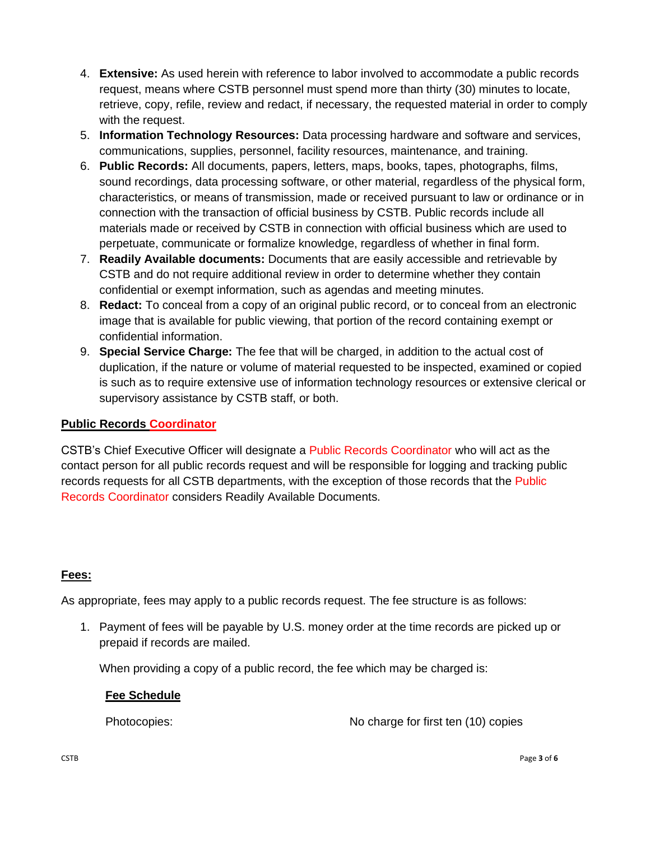- 4. **Extensive:** As used herein with reference to labor involved to accommodate a public records request, means where CSTB personnel must spend more than thirty (30) minutes to locate, retrieve, copy, refile, review and redact, if necessary, the requested material in order to comply with the request.
- 5. **Information Technology Resources:** Data processing hardware and software and services, communications, supplies, personnel, facility resources, maintenance, and training.
- 6. **Public Records:** All documents, papers, letters, maps, books, tapes, photographs, films, sound recordings, data processing software, or other material, regardless of the physical form, characteristics, or means of transmission, made or received pursuant to law or ordinance or in connection with the transaction of official business by CSTB. Public records include all materials made or received by CSTB in connection with official business which are used to perpetuate, communicate or formalize knowledge, regardless of whether in final form.
- 7. **Readily Available documents:** Documents that are easily accessible and retrievable by CSTB and do not require additional review in order to determine whether they contain confidential or exempt information, such as agendas and meeting minutes.
- 8. **Redact:** To conceal from a copy of an original public record, or to conceal from an electronic image that is available for public viewing, that portion of the record containing exempt or confidential information.
- 9. **Special Service Charge:** The fee that will be charged, in addition to the actual cost of duplication, if the nature or volume of material requested to be inspected, examined or copied is such as to require extensive use of information technology resources or extensive clerical or supervisory assistance by CSTB staff, or both.

## **Public Records Coordinator**

CSTB's Chief Executive Officer will designate a Public Records Coordinator who will act as the contact person for all public records request and will be responsible for logging and tracking public records requests for all CSTB departments, with the exception of those records that the Public Records Coordinator considers Readily Available Documents.

## **Fees:**

As appropriate, fees may apply to a public records request. The fee structure is as follows:

1. Payment of fees will be payable by U.S. money order at the time records are picked up or prepaid if records are mailed.

When providing a copy of a public record, the fee which may be charged is:

## **Fee Schedule**

Photocopies: No charge for first ten (10) copies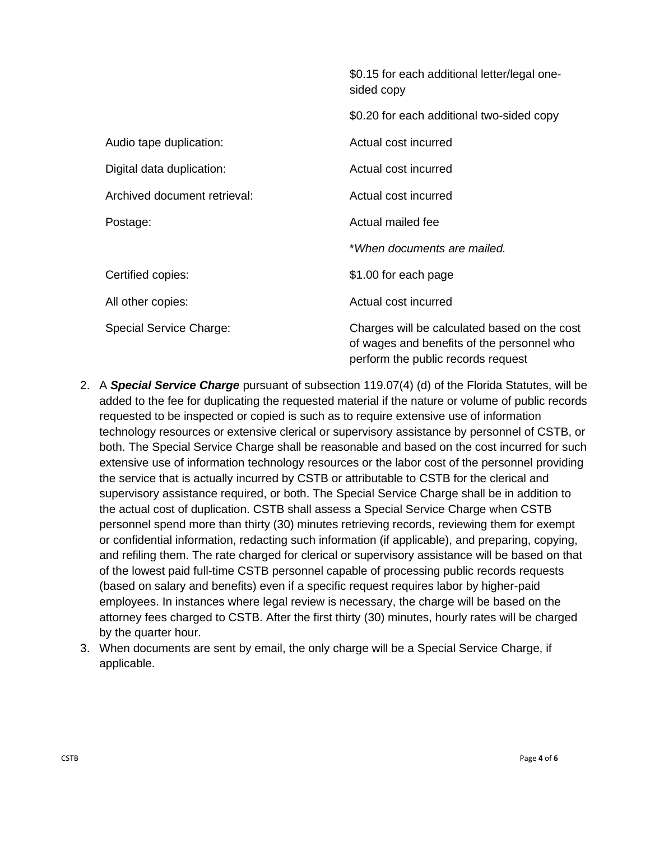|                              | \$0.15 for each additional letter/legal one-<br>sided copy                                                                       |  |
|------------------------------|----------------------------------------------------------------------------------------------------------------------------------|--|
|                              | \$0.20 for each additional two-sided copy                                                                                        |  |
| Audio tape duplication:      | Actual cost incurred                                                                                                             |  |
| Digital data duplication:    | Actual cost incurred                                                                                                             |  |
| Archived document retrieval: | Actual cost incurred                                                                                                             |  |
| Postage:                     | Actual mailed fee                                                                                                                |  |
|                              | *When documents are mailed.                                                                                                      |  |
| Certified copies:            | \$1.00 for each page                                                                                                             |  |
| All other copies:            | Actual cost incurred                                                                                                             |  |
| Special Service Charge:      | Charges will be calculated based on the cost<br>of wages and benefits of the personnel who<br>perform the public records request |  |

- 2. A *Special Service Charge* pursuant of subsection 119.07(4) (d) of the Florida Statutes, will be added to the fee for duplicating the requested material if the nature or volume of public records requested to be inspected or copied is such as to require extensive use of information technology resources or extensive clerical or supervisory assistance by personnel of CSTB, or both. The Special Service Charge shall be reasonable and based on the cost incurred for such extensive use of information technology resources or the labor cost of the personnel providing the service that is actually incurred by CSTB or attributable to CSTB for the clerical and supervisory assistance required, or both. The Special Service Charge shall be in addition to the actual cost of duplication. CSTB shall assess a Special Service Charge when CSTB personnel spend more than thirty (30) minutes retrieving records, reviewing them for exempt or confidential information, redacting such information (if applicable), and preparing, copying, and refiling them. The rate charged for clerical or supervisory assistance will be based on that of the lowest paid full-time CSTB personnel capable of processing public records requests (based on salary and benefits) even if a specific request requires labor by higher-paid employees. In instances where legal review is necessary, the charge will be based on the attorney fees charged to CSTB. After the first thirty (30) minutes, hourly rates will be charged by the quarter hour.
- 3. When documents are sent by email, the only charge will be a Special Service Charge, if applicable.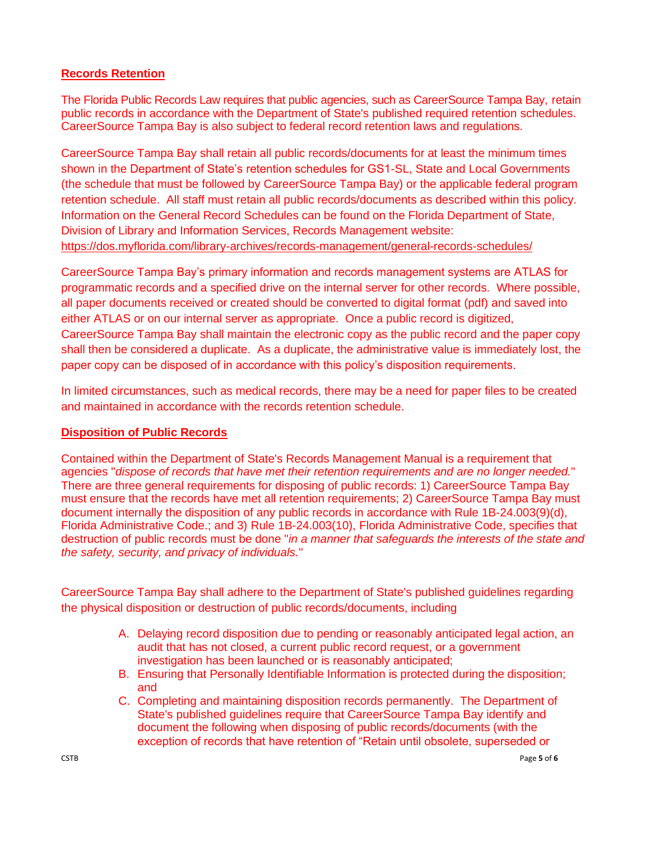## **Records Retention**

The Florida Public Records Law requires that public agencies, such as CareerSource Tampa Bay, retain public records in accordance with the Department of State's published required retention schedules. CareerSource Tampa Bay is also subject to federal record retention laws and regulations.

CareerSource Tampa Bay shall retain all public records/documents for at least the minimum times shown in the Department of State's retention schedules for GS1-SL, State and Local Governments (the schedule that must be followed by CareerSource Tampa Bay) or the applicable federal program retention schedule. All staff must retain all public records/documents as described within this policy. Information on the General Record Schedules can be found on the Florida Department of State, Division of Library and Information Services, Records Management website: <https://dos.myflorida.com/library-archives/records-management/general-records-schedules/>

CareerSource Tampa Bay's primary information and records management systems are ATLAS for programmatic records and a specified drive on the internal server for other records. Where possible, all paper documents received or created should be converted to digital format (pdf) and saved into either ATLAS or on our internal server as appropriate. Once a public record is digitized, CareerSource Tampa Bay shall maintain the electronic copy as the public record and the paper copy shall then be considered a duplicate. As a duplicate, the administrative value is immediately lost, the paper copy can be disposed of in accordance with this policy's disposition requirements.

In limited circumstances, such as medical records, there may be a need for paper files to be created and maintained in accordance with the records retention schedule.

## **Disposition of Public Records**

Contained within the Department of State's Records Management Manual is a requirement that agencies "*dispose of records that have met their retention requirements and are no longer needed.*" There are three general requirements for disposing of public records: 1) CareerSource Tampa Bay must ensure that the records have met all retention requirements; 2) CareerSource Tampa Bay must document internally the disposition of any public records in accordance with Rule 1B-24.003(9)(d), Florida Administrative Code.; and 3) [Rule 1B-24.003\(10\),](http://dlis.dos.state.fl.us/barm/rules/1B24FAC.cfm) Florida Administrative Code, specifies that destruction of public records must be done "*in a manner that safeguards the interests of the state and the safety, security, and privacy of individuals.*"

CareerSource Tampa Bay shall adhere to the Department of State's published guidelines regarding the physical disposition or destruction of public records/documents, including

- A. Delaying record disposition due to pending or reasonably anticipated legal action, an audit that has not closed, a current public record request, or a government investigation has been launched or is reasonably anticipated;
- B. Ensuring that Personally Identifiable Information is protected during the disposition; and
- C. Completing and maintaining disposition records permanently. The Department of State's published guidelines require that CareerSource Tampa Bay identify and document the following when disposing of public records/documents (with the exception of records that have retention of "Retain until obsolete, superseded or